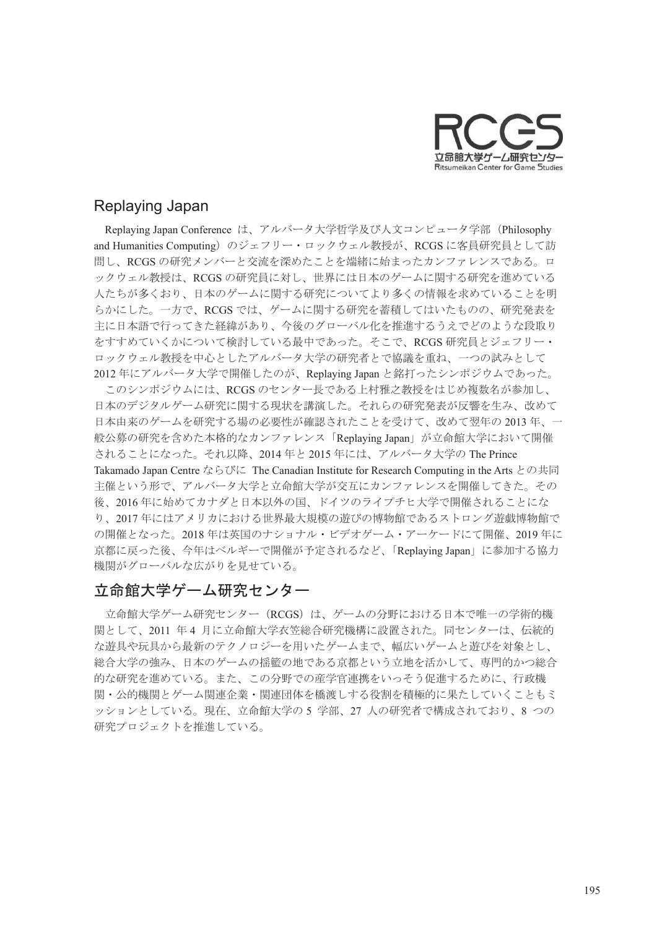

## Replaying Japan

Replaying Japan Conference は、アルバータ大学哲学及び人文コンピュータ学部 (Philosophy and Humanities Computing) のジェフリー・ロックウェル教授が、RCGS に客員研究員として訪 問し、RCGSの研究メンバーと交流を深めたことを端緒に始まったカンファレンスである。ロ ックウェル教授は、RCGSの研究員に対し、世界には日本のゲームに関する研究を進めている 人たちが多くおり、日本のゲームに関する研究についてより多くの情報を求めていることを明 らかにした。一方で、RCGSでは、ゲームに関する研究を蓄積してはいたものの、研究発表を 主に日本語で行ってきた経緯があり、今後のグローバル化を推進するうえでどのような段取り をすすめていくかについて検討している最中であった。そこで、RCGS研究員とジェフリー· ロックウェル教授を中心としたアルバータ大学の研究者とで協議を重ね、一つの試みとして 2012 年にアルバータ大学で開催したのが、Replaving Japan と銘打ったシンポジウムであった。

このシンポジウムには、RCGS のセンター長である上村雅之教授をはじめ複数名が参加し、 日本のデジタルゲーム研究に関する現状を講演した。それらの研究発表が反響を生み、改めて 日本由来のゲームを研究する場の必要性が確認されたことを受けて、改めて翌年の2013年、一 般公募の研究を含めた本格的なカンファレンス「Replaying Japan」が立命館大学において開催 されることになった。それ以降、2014年と2015年には、アルバータ大学の The Prince Takamado Japan Centre ならびに The Canadian Institute for Research Computing in the Arts との共同 主催という形で、アルバータ大学と立命館大学が交互にカンファレンスを開催してきた。その 後、2016年に始めてカナダと日本以外の国、ドイツのライプチヒ大学で開催されることにな り、2017年にはアメリカにおける世界最大規模の遊びの博物館であるストロング遊戯博物館で の開催となった。2018年は英国のナショナル・ビデオゲーム・アーケードにて開催、2019年に 京都に戻った後、今年はベルギーで開催が予定されるなど、「Replaying Japan」に参加する協力 機関がグローバルな広がりを見せている。

## 立命館大学ゲーム研究センター

立命館大学ゲーム研究センター (RCGS) は、ゲームの分野における日本で唯一の学術的機 関として、2011 年4 月に立命館大学衣笠総合研究機構に設置された。同センターは、伝統的 な游具や玩具から最新のテクノロジーを用いたゲームまで、幅広いゲームと游びを対象とし、 総合大学の強み、日本のゲームの揺籃の地である京都という立地を活かして、専門的かつ総合 的な研究を進めている。また、この分野での産学官連携をいっそう促進するために、行政機 関・公的機関とゲーム関連企業・関連団体を橋渡しする役割を積極的に果たしていくこともミ ッションとしている。現在、立命館大学の5 学部、27 人の研究者で構成されており、8 つの 研究プロジェクトを推進している。